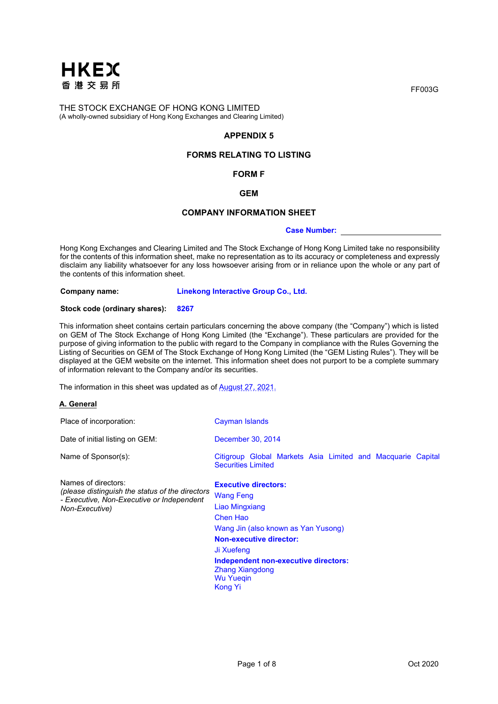

## **APPENDIX 5**

## **FORMS RELATING TO LISTING**

### **FORM F**

**GEM**

# **COMPANY INFORMATION SHEET**

**Case Number:** 

Hong Kong Exchanges and Clearing Limited and The Stock Exchange of Hong Kong Limited take no responsibility for the contents of this information sheet, make no representation as to its accuracy or completeness and expressly disclaim any liability whatsoever for any loss howsoever arising from or in reliance upon the whole or any part of the contents of this information sheet.

**Company name: Linekong Interactive Group Co., Ltd.**

### **Stock code (ordinary shares): 8267**

This information sheet contains certain particulars concerning the above company (the "Company") which is listed on GEM of The Stock Exchange of Hong Kong Limited (the "Exchange"). These particulars are provided for the purpose of giving information to the public with regard to the Company in compliance with the Rules Governing the Listing of Securities on GEM of The Stock Exchange of Hong Kong Limited (the "GEM Listing Rules"). They will be displayed at the GEM website on the internet. This information sheet does not purport to be a complete summary of information relevant to the Company and/or its securities.

The information in this sheet was updated as of August 27, 2021.

#### **A. General**

| Place of incorporation:                                                                                                               | Cayman Islands                                                                                                                                                                                                                                                               |
|---------------------------------------------------------------------------------------------------------------------------------------|------------------------------------------------------------------------------------------------------------------------------------------------------------------------------------------------------------------------------------------------------------------------------|
| Date of initial listing on GEM:                                                                                                       | December 30, 2014                                                                                                                                                                                                                                                            |
| Name of Sponsor(s):                                                                                                                   | Citigroup Global Markets Asia Limited and Macquarie Capital<br><b>Securities Limited</b>                                                                                                                                                                                     |
| Names of directors:<br>(please distinguish the status of the directors<br>- Executive, Non-Executive or Independent<br>Non-Executive) | <b>Executive directors:</b><br><b>Wang Feng</b><br>Liao Mingxiang<br>Chen Hao<br>Wang Jin (also known as Yan Yusong)<br><b>Non-executive director:</b><br>Ji Xuefeng<br>Independent non-executive directors:<br><b>Zhang Xiangdong</b><br><b>Wu Yuegin</b><br><b>Kong Yi</b> |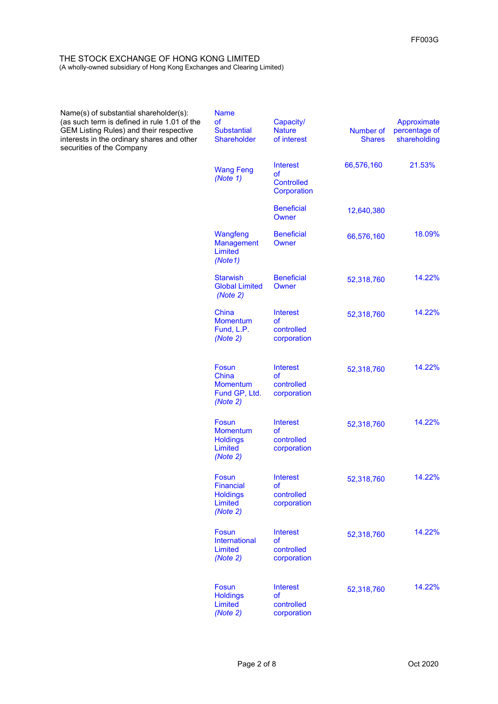| Name(s) of substantial shareholder(s):<br>(as such term is defined in rule 1.01 of the<br><b>GEM Listing Rules) and their respective</b><br>interests in the ordinary shares and other<br>securities of the Company | <b>Name</b><br><b>of</b><br><b>Substantial</b><br><b>Shareholder</b> | Capacity/<br><b>Nature</b><br>of interest                        | Number of<br><b>Shares</b> | Approximate<br>percentage of<br>shareholding |
|---------------------------------------------------------------------------------------------------------------------------------------------------------------------------------------------------------------------|----------------------------------------------------------------------|------------------------------------------------------------------|----------------------------|----------------------------------------------|
|                                                                                                                                                                                                                     | <b>Wang Feng</b><br>(Note 1)                                         | <b>Interest</b><br><b>of</b><br><b>Controlled</b><br>Corporation | 66,576,160                 | 21.53%                                       |
|                                                                                                                                                                                                                     |                                                                      | <b>Beneficial</b><br>Owner                                       | 12,640,380                 |                                              |
|                                                                                                                                                                                                                     | Wangfeng<br><b>Management</b><br>Limited<br>(Note1)                  | <b>Beneficial</b><br>Owner                                       | 66,576,160                 | 18.09%                                       |
|                                                                                                                                                                                                                     | <b>Starwish</b><br><b>Global Limited</b><br>(Note 2)                 | <b>Beneficial</b><br>Owner                                       | 52,318,760                 | 14.22%                                       |
|                                                                                                                                                                                                                     | China<br><b>Momentum</b><br>Fund, L.P.<br>(Note 2)                   | <b>Interest</b><br><b>of</b><br>controlled<br>corporation        | 52,318,760                 | 14.22%                                       |
|                                                                                                                                                                                                                     | Fosun<br>China<br><b>Momentum</b><br>Fund GP, Ltd.<br>(Note 2)       | <b>Interest</b><br><b>of</b><br>controlled<br>corporation        | 52,318,760                 | 14.22%                                       |
|                                                                                                                                                                                                                     | Fosun<br><b>Momentum</b><br><b>Holdings</b><br>Limited<br>(Note 2)   | <b>Interest</b><br><b>of</b><br>controlled<br>corporation        | 52,318,760                 | 14.22%                                       |
|                                                                                                                                                                                                                     | Fosun<br><b>Financial</b><br><b>Holdings</b><br>Limited<br>(Note 2)  | <b>Interest</b><br>of<br>controlled<br>corporation               | 52,318,760                 | 14.22%                                       |
|                                                                                                                                                                                                                     | Fosun<br>International<br>Limited<br>(Note 2)                        | <b>Interest</b><br><b>of</b><br>controlled<br>corporation        | 52,318,760                 | 14.22%                                       |
|                                                                                                                                                                                                                     | Fosun<br><b>Holdings</b><br>Limited<br>(Note 2)                      | <b>Interest</b><br><b>of</b><br>controlled<br>corporation        | 52,318,760                 | 14.22%                                       |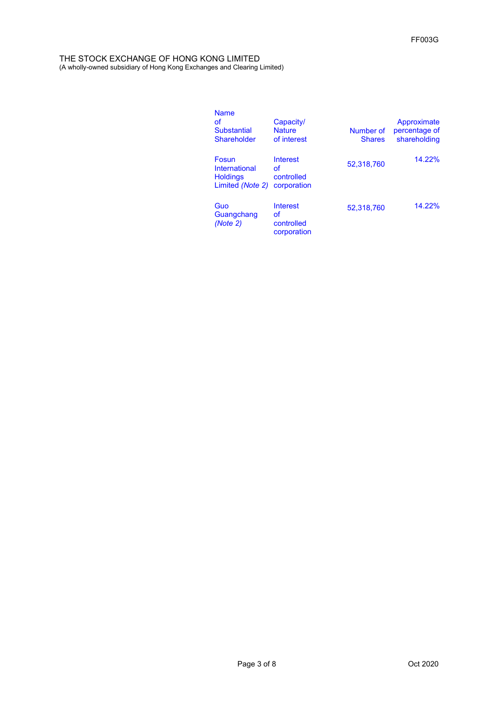| <b>Name</b><br>οf<br><b>Substantial</b><br>Shareholder        | Capacity/<br><b>Nature</b><br>of interest          | Number of<br><b>Shares</b> | Approximate<br>percentage of<br>shareholding |
|---------------------------------------------------------------|----------------------------------------------------|----------------------------|----------------------------------------------|
| Fosun<br>International<br><b>Holdings</b><br>Limited (Note 2) | Interest<br>Ωf<br>controlled<br>corporation        | 52.318.760                 | 14.22%                                       |
| Guo<br>Guangchang<br>(Note 2)                                 | <b>Interest</b><br>of<br>controlled<br>corporation | 52,318,760                 | 14.22%                                       |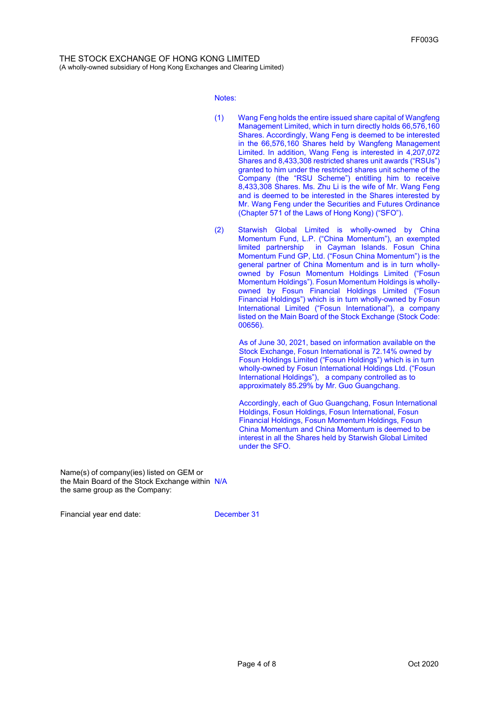Notes:

- (1) Wang Feng holds the entire issued share capital of Wangfeng Management Limited, which in turn directly holds 66,576,160 Shares. Accordingly, Wang Feng is deemed to be interested in the 66,576,160 Shares held by Wangfeng Management Limited. In addition, Wang Feng is interested in 4,207,072 Shares and 8,433,308 restricted shares unit awards ("RSUs") granted to him under the restricted shares unit scheme of the Company (the "RSU Scheme") entitling him to receive 8,433,308 Shares. Ms. Zhu Li is the wife of Mr. Wang Feng and is deemed to be interested in the Shares interested by Mr. Wang Feng under the Securities and Futures Ordinance (Chapter 571 of the Laws of Hong Kong) ("SFO").
- (2) Starwish Global Limited is wholly-owned by China Momentum Fund, L.P. ("China Momentum"), an exempted limited partnership in Cayman Islands. Fosun China Momentum Fund GP, Ltd. ("Fosun China Momentum") is the general partner of China Momentum and is in turn whollyowned by Fosun Momentum Holdings Limited ("Fosun Momentum Holdings"). Fosun Momentum Holdings is whollyowned by Fosun Financial Holdings Limited ("Fosun Financial Holdings") which is in turn wholly-owned by Fosun International Limited ("Fosun International"), a company listed on the Main Board of the Stock Exchange (Stock Code: 00656).

As of June 30, 2021, based on information available on the Stock Exchange, Fosun International is 72.14% owned by Fosun Holdings Limited ("Fosun Holdings") which is in turn wholly-owned by Fosun International Holdings Ltd. ("Fosun International Holdings"), a company controlled as to approximately 85.29% by Mr. Guo Guangchang.

Accordingly, each of Guo Guangchang, Fosun International Holdings, Fosun Holdings, Fosun International, Fosun Financial Holdings, Fosun Momentum Holdings, Fosun China Momentum and China Momentum is deemed to be interest in all the Shares held by Starwish Global Limited under the SFO.

Name(s) of company(ies) listed on GEM or the Main Board of the Stock Exchange within N/A the same group as the Company:

Financial year end date: December 31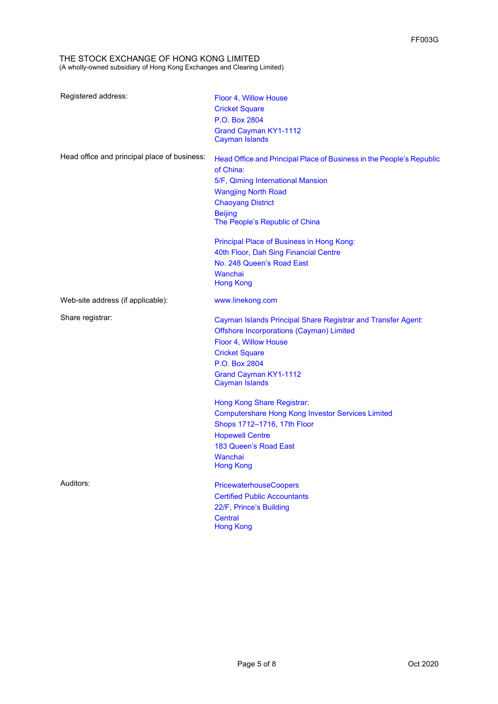| Registered address:                          | Floor 4, Willow House<br><b>Cricket Square</b><br>P.O. Box 2804<br><b>Grand Cayman KY1-1112</b>                                                                                                                                                               |
|----------------------------------------------|---------------------------------------------------------------------------------------------------------------------------------------------------------------------------------------------------------------------------------------------------------------|
| Head office and principal place of business: | <b>Cayman Islands</b><br>Head Office and Principal Place of Business in the People's Republic<br>of China:<br>5/F, Qiming International Mansion<br><b>Wangjing North Road</b><br><b>Chaoyang District</b><br><b>Beijing</b><br>The People's Republic of China |
|                                              | Principal Place of Business in Hong Kong:<br>40th Floor, Dah Sing Financial Centre<br>No. 248 Queen's Road East<br>Wanchai<br><b>Hong Kong</b>                                                                                                                |
| Web-site address (if applicable):            | www.linekong.com                                                                                                                                                                                                                                              |
| Share registrar:                             | Cayman Islands Principal Share Registrar and Transfer Agent:<br><b>Offshore Incorporations (Cayman) Limited</b><br>Floor 4, Willow House<br><b>Cricket Square</b><br>P.O. Box 2804<br><b>Grand Cayman KY1-1112</b><br><b>Cayman Islands</b>                   |
|                                              | Hong Kong Share Registrar:<br><b>Computershare Hong Kong Investor Services Limited</b><br>Shops 1712-1716, 17th Floor<br><b>Hopewell Centre</b><br>183 Queen's Road East<br>Wanchai<br><b>Hong Kong</b>                                                       |
| Auditors:                                    | <b>PricewaterhouseCoopers</b><br><b>Certified Public Accountants</b><br>22/F, Prince's Building<br><b>Central</b><br><b>Hong Kong</b>                                                                                                                         |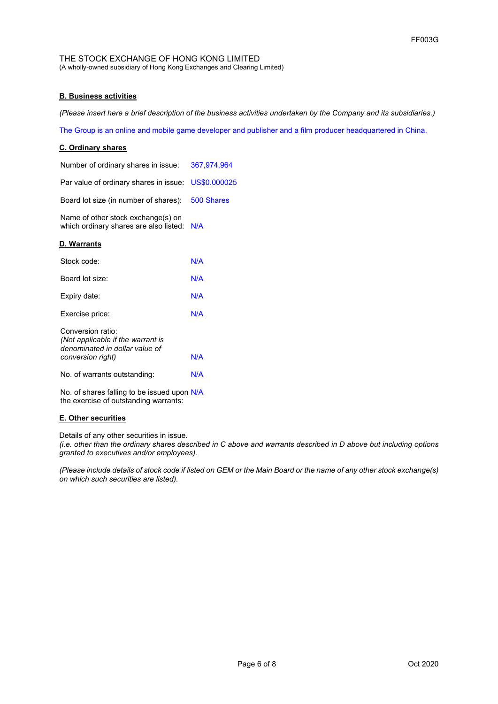## **B. Business activities**

*(Please insert here a brief description of the business activities undertaken by the Company and its subsidiaries.)*

The Group is an online and mobile game developer and publisher and a film producer headquartered in China.

## **C. Ordinary shares**

| Number of ordinary shares in issue:                                                                           | 367,974,964 |
|---------------------------------------------------------------------------------------------------------------|-------------|
| Par value of ordinary shares in issue: US\$0.000025                                                           |             |
| Board lot size (in number of shares):                                                                         | 500 Shares  |
| Name of other stock exchange(s) on<br>which ordinary shares are also listed: N/A                              |             |
| D. Warrants                                                                                                   |             |
| Stock code:                                                                                                   | N/A         |
| Board lot size:                                                                                               | N/A         |
| Expiry date:                                                                                                  | N/A         |
| Exercise price:                                                                                               | N/A         |
| Conversion ratio:<br>(Not applicable if the warrant is<br>denominated in dollar value of<br>conversion right) | N/A         |
| No. of warrants outstanding:                                                                                  | N/A         |
| No. of shares falling to be issued upon N/A<br>the exercise of outstanding warrants:                          |             |

# **E. Other securities**

Details of any other securities in issue.

*(i.e. other than the ordinary shares described in C above and warrants described in D above but including options granted to executives and/or employees).*

*(Please include details of stock code if listed on GEM or the Main Board or the name of any other stock exchange(s) on which such securities are listed).*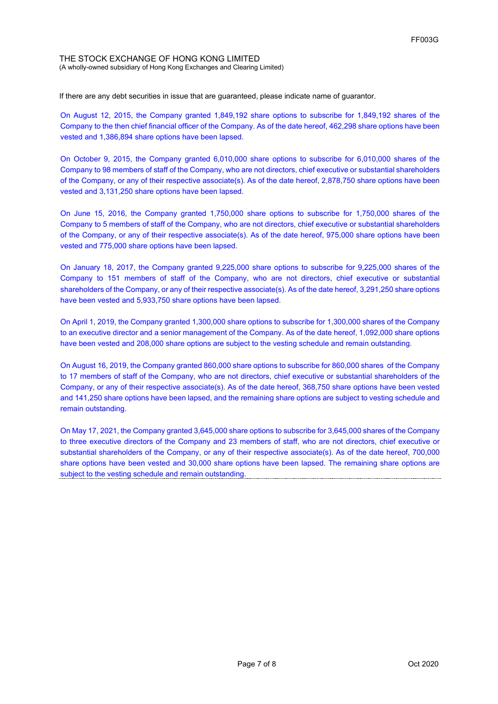If there are any debt securities in issue that are guaranteed, please indicate name of guarantor.

On August 12, 2015, the Company granted 1,849,192 share options to subscribe for 1,849,192 shares of the Company to the then chief financial officer of the Company. As of the date hereof, 462,298 share options have been vested and 1,386,894 share options have been lapsed.

On October 9, 2015, the Company granted 6,010,000 share options to subscribe for 6,010,000 shares of the Company to 98 members of staff of the Company, who are not directors, chief executive or substantial shareholders of the Company, or any of their respective associate(s). As of the date hereof, 2,878,750 share options have been vested and 3,131,250 share options have been lapsed.

On June 15, 2016, the Company granted 1,750,000 share options to subscribe for 1,750,000 shares of the Company to 5 members of staff of the Company, who are not directors, chief executive or substantial shareholders of the Company, or any of their respective associate(s). As of the date hereof, 975,000 share options have been vested and 775,000 share options have been lapsed.

On January 18, 2017, the Company granted 9,225,000 share options to subscribe for 9,225,000 shares of the Company to 151 members of staff of the Company, who are not directors, chief executive or substantial shareholders of the Company, or any of their respective associate(s). As of the date hereof, 3,291,250 share options have been vested and 5,933,750 share options have been lapsed.

On April 1, 2019, the Company granted 1,300,000 share options to subscribe for 1,300,000 shares of the Company to an executive director and a senior management of the Company. As of the date hereof, 1,092,000 share options have been vested and 208,000 share options are subject to the vesting schedule and remain outstanding.

On August 16, 2019, the Company granted 860,000 share options to subscribe for 860,000 shares of the Company to 17 members of staff of the Company, who are not directors, chief executive or substantial shareholders of the Company, or any of their respective associate(s). As of the date hereof, 368,750 share options have been vested and 141,250 share options have been lapsed, and the remaining share options are subject to vesting schedule and remain outstanding.

On May 17, 2021, the Company granted 3,645,000 share options to subscribe for 3,645,000 shares of the Company to three executive directors of the Company and 23 members of staff, who are not directors, chief executive or substantial shareholders of the Company, or any of their respective associate(s). As of the date hereof, 700,000 share options have been vested and 30,000 share options have been lapsed. The remaining share options are subject to the vesting schedule and remain outstanding.